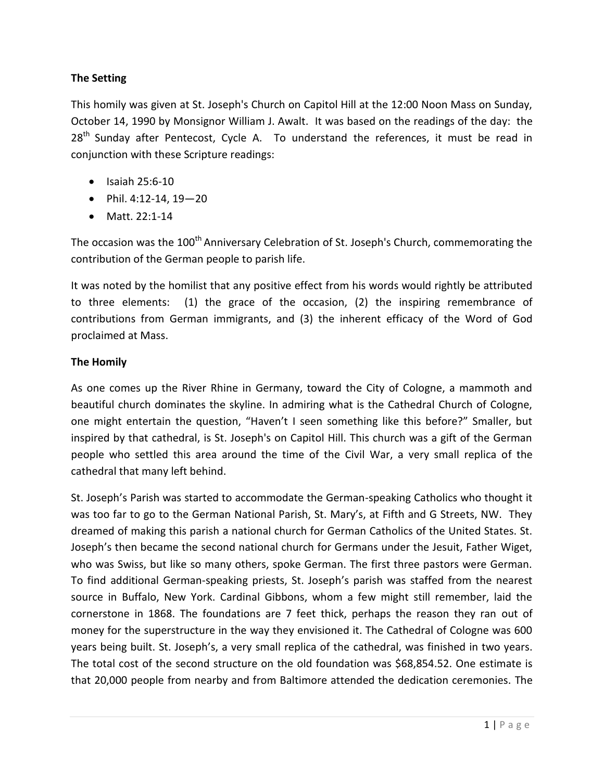## **The Setting**

This homily was given at St. Joseph's Church on Capitol Hill at the 12:00 Noon Mass on Sunday, October 14, 1990 by Monsignor William J. Awalt. It was based on the readings of the day: the  $28<sup>th</sup>$  Sunday after Pentecost, Cycle A. To understand the references, it must be read in conjunction with these Scripture readings:

- $\bullet$  Isaiah 25:6-10
- $\bullet$  Phil. 4:12-14, 19-20
- Matt. 22:1-14

The occasion was the 100<sup>th</sup> Anniversary Celebration of St. Joseph's Church, commemorating the contribution of the German people to parish life.

It was noted by the homilist that any positive effect from his words would rightly be attributed to three elements: (1) the grace of the occasion, (2) the inspiring remembrance of contributions from German immigrants, and (3) the inherent efficacy of the Word of God proclaimed at Mass.

## **The Homily**

As one comes up the River Rhine in Germany, toward the City of Cologne, a mammoth and beautiful church dominates the skyline. In admiring what is the Cathedral Church of Cologne, one might entertain the question, "Haven't I seen something like this before?" Smaller, but inspired by that cathedral, is St. Joseph's on Capitol Hill. This church was a gift of the German people who settled this area around the time of the Civil War, a very small replica of the cathedral that many left behind.

St. Joseph's Parish was started to accommodate the German-speaking Catholics who thought it was too far to go to the German National Parish, St. Mary's, at Fifth and G Streets, NW. They dreamed of making this parish a national church for German Catholics of the United States. St. Joseph's then became the second national church for Germans under the Jesuit, Father Wiget, who was Swiss, but like so many others, spoke German. The first three pastors were German. To find additional German-speaking priests, St. Joseph's parish was staffed from the nearest source in Buffalo, New York. Cardinal Gibbons, whom a few might still remember, laid the cornerstone in 1868. The foundations are 7 feet thick, perhaps the reason they ran out of money for the superstructure in the way they envisioned it. The Cathedral of Cologne was 600 years being built. St. Joseph's, a very small replica of the cathedral, was finished in two years. The total cost of the second structure on the old foundation was \$68,854.52. One estimate is that 20,000 people from nearby and from Baltimore attended the dedication ceremonies. The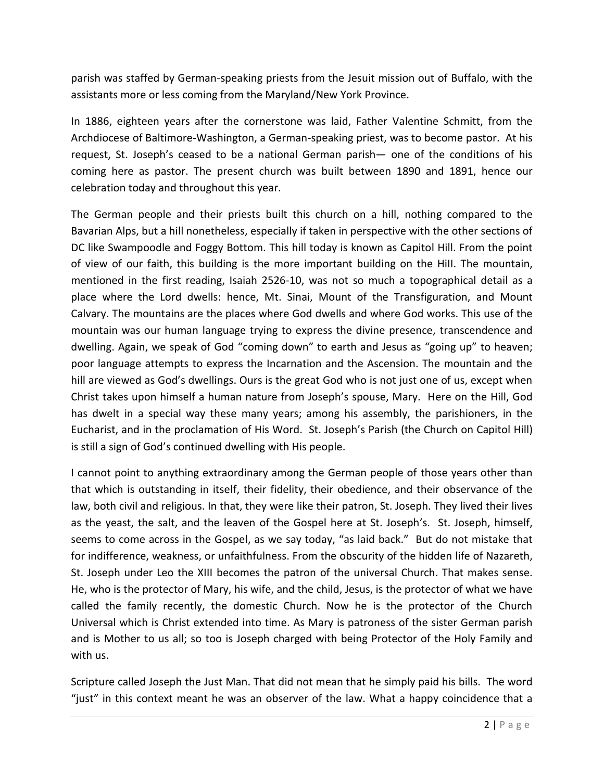parish was staffed by German-speaking priests from the Jesuit mission out of Buffalo, with the assistants more or less coming from the Maryland/New York Province.

In 1886, eighteen years after the cornerstone was laid, Father Valentine Schmitt, from the Archdiocese of Baltimore-Washington, a German-speaking priest, was to become pastor. At his request, St. Joseph's ceased to be a national German parish— one of the conditions of his coming here as pastor. The present church was built between 1890 and 1891, hence our celebration today and throughout this year.

The German people and their priests built this church on a hill, nothing compared to the Bavarian Alps, but a hill nonetheless, especially if taken in perspective with the other sections of DC like Swampoodle and Foggy Bottom. This hill today is known as Capitol Hill. From the point of view of our faith, this building is the more important building on the HiII. The mountain, mentioned in the first reading, Isaiah 2526-10, was not so much a topographical detail as a place where the Lord dwells: hence, Mt. Sinai, Mount of the Transfiguration, and Mount Calvary. The mountains are the places where God dwells and where God works. This use of the mountain was our human language trying to express the divine presence, transcendence and dwelling. Again, we speak of God "coming down" to earth and Jesus as "going up" to heaven; poor language attempts to express the Incarnation and the Ascension. The mountain and the hill are viewed as God's dwellings. Ours is the great God who is not just one of us, except when Christ takes upon himself a human nature from Joseph's spouse, Mary. Here on the Hill, God has dwelt in a special way these many years; among his assembly, the parishioners, in the Eucharist, and in the proclamation of His Word. St. Joseph's Parish (the Church on Capitol Hill) is still a sign of God's continued dwelling with His people.

I cannot point to anything extraordinary among the German people of those years other than that which is outstanding in itself, their fidelity, their obedience, and their observance of the law, both civil and religious. In that, they were like their patron, St. Joseph. They lived their lives as the yeast, the salt, and the leaven of the Gospel here at St. Joseph's. St. Joseph, himself, seems to come across in the Gospel, as we say today, "as laid back." But do not mistake that for indifference, weakness, or unfaithfulness. From the obscurity of the hidden life of Nazareth, St. Joseph under Leo the XIII becomes the patron of the universal Church. That makes sense. He, who is the protector of Mary, his wife, and the child, Jesus, is the protector of what we have called the family recently, the domestic Church. Now he is the protector of the Church Universal which is Christ extended into time. As Mary is patroness of the sister German parish and is Mother to us all; so too is Joseph charged with being Protector of the Holy Family and with us.

Scripture called Joseph the Just Man. That did not mean that he simply paid his bills. The word "just" in this context meant he was an observer of the law. What a happy coincidence that a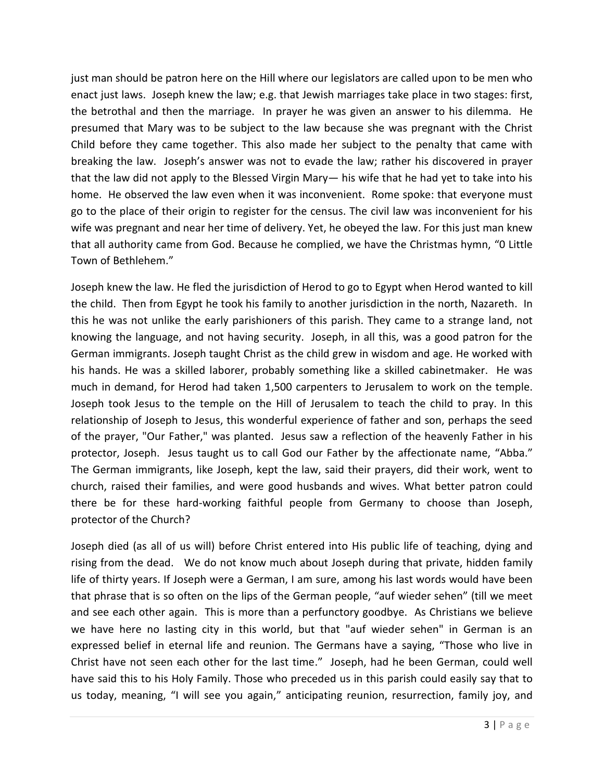just man should be patron here on the Hill where our legislators are called upon to be men who enact just laws. Joseph knew the law; e.g. that Jewish marriages take place in two stages: first, the betrothal and then the marriage. In prayer he was given an answer to his dilemma. He presumed that Mary was to be subject to the law because she was pregnant with the Christ Child before they came together. This also made her subject to the penalty that came with breaking the law. Joseph's answer was not to evade the law; rather his discovered in prayer that the law did not apply to the Blessed Virgin Mary— his wife that he had yet to take into his home. He observed the law even when it was inconvenient. Rome spoke: that everyone must go to the place of their origin to register for the census. The civil law was inconvenient for his wife was pregnant and near her time of delivery. Yet, he obeyed the law. For this just man knew that all authority came from God. Because he complied, we have the Christmas hymn, "0 Little Town of Bethlehem."

Joseph knew the law. He fled the jurisdiction of Herod to go to Egypt when Herod wanted to kill the child. Then from Egypt he took his family to another jurisdiction in the north, Nazareth. In this he was not unlike the early parishioners of this parish. They came to a strange land, not knowing the language, and not having security. Joseph, in all this, was a good patron for the German immigrants. Joseph taught Christ as the child grew in wisdom and age. He worked with his hands. He was a skilled laborer, probably something like a skilled cabinetmaker. He was much in demand, for Herod had taken 1,500 carpenters to Jerusalem to work on the temple. Joseph took Jesus to the temple on the Hill of Jerusalem to teach the child to pray. In this relationship of Joseph to Jesus, this wonderful experience of father and son, perhaps the seed of the prayer, "Our Father," was planted. Jesus saw a reflection of the heavenly Father in his protector, Joseph. Jesus taught us to call God our Father by the affectionate name, "Abba." The German immigrants, like Joseph, kept the law, said their prayers, did their work, went to church, raised their families, and were good husbands and wives. What better patron could there be for these hard-working faithful people from Germany to choose than Joseph, protector of the Church?

Joseph died (as all of us will) before Christ entered into His public life of teaching, dying and rising from the dead. We do not know much about Joseph during that private, hidden family life of thirty years. If Joseph were a German, I am sure, among his last words would have been that phrase that is so often on the lips of the German people, "auf wieder sehen" (till we meet and see each other again. This is more than a perfunctory goodbye. As Christians we believe we have here no lasting city in this world, but that "auf wieder sehen" in German is an expressed belief in eternal life and reunion. The Germans have a saying, "Those who live in Christ have not seen each other for the last time." Joseph, had he been German, could well have said this to his Holy Family. Those who preceded us in this parish could easily say that to us today, meaning, "I will see you again," anticipating reunion, resurrection, family joy, and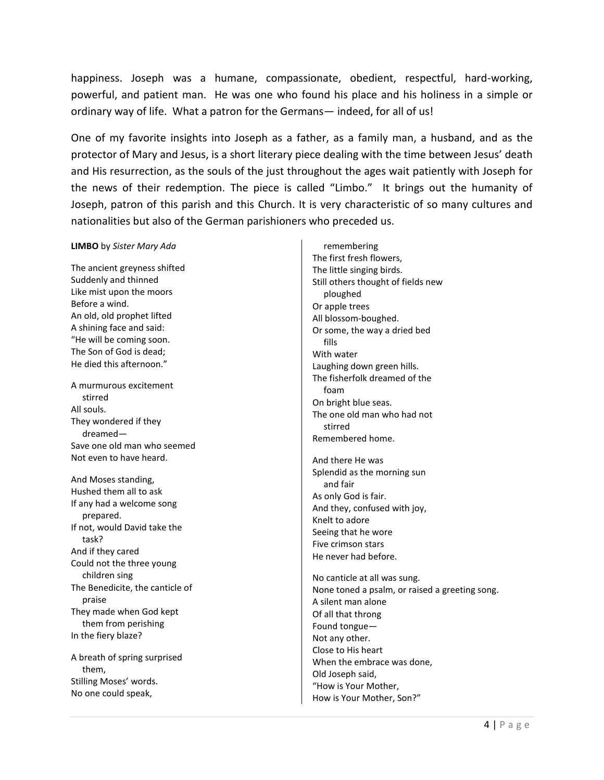happiness. Joseph was a humane, compassionate, obedient, respectful, hard-working, powerful, and patient man. He was one who found his place and his holiness in a simple or ordinary way of life. What a patron for the Germans— indeed, for all of us!

One of my favorite insights into Joseph as a father, as a family man, a husband, and as the protector of Mary and Jesus, is a short literary piece dealing with the time between Jesus' death and His resurrection, as the souls of the just throughout the ages wait patiently with Joseph for the news of their redemption. The piece is called "Limbo." It brings out the humanity of Joseph, patron of this parish and this Church. It is very characteristic of so many cultures and nationalities but also of the German parishioners who preceded us.

## **LIMBO** by *Sister Mary Ada*

The ancient greyness shifted Suddenly and thinned Like mist upon the moors Before a wind. An old, old prophet lifted A shining face and said: "He will be coming soon. The Son of God is dead; He died this afternoon."

A murmurous excitement stirred All souls. They wondered if they dreamed— Save one old man who seemed Not even to have heard.

And Moses standing, Hushed them all to ask If any had a welcome song prepared. If not, would David take the task? And if they cared Could not the three young children sing The Benedicite, the canticle of praise They made when God kept them from perishing In the fiery blaze? A breath of spring surprised

 them, Stilling Moses' words. No one could speak,

 remembering The first fresh flowers, The little singing birds. Still others thought of fields new ploughed Or apple trees All blossom-boughed. Or some, the way a dried bed fills With water Laughing down green hills. The fisherfolk dreamed of the foam On bright blue seas. The one old man who had not stirred Remembered home. And there He was Splendid as the morning sun and fair As only God is fair. And they, confused with joy, Knelt to adore Seeing that he wore Five crimson stars He never had before. No canticle at all was sung. None toned a psalm, or raised a greeting song. A silent man alone Of all that throng Found tongue—

Not any other. Close to His heart When the embrace was done, Old Joseph said, "How is Your Mother, How is Your Mother, Son?"